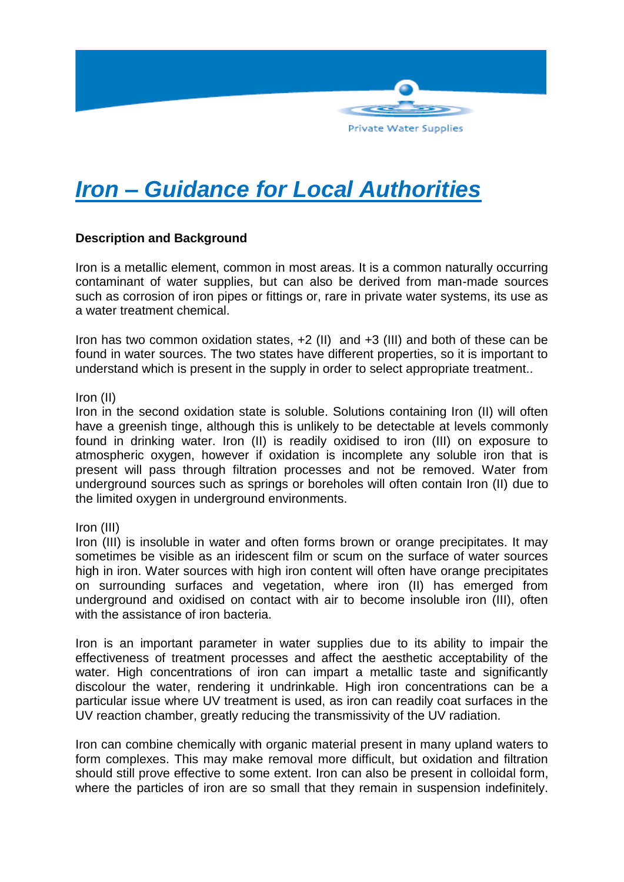

# *Iron – Guidance for Local Authorities*

# **Description and Background**

Iron is a metallic element, common in most areas. It is a common naturally occurring contaminant of water supplies, but can also be derived from man-made sources such as corrosion of iron pipes or fittings or, rare in private water systems, its use as a water treatment chemical.

Iron has two common oxidation states, +2 (II) and +3 (III) and both of these can be found in water sources. The two states have different properties, so it is important to understand which is present in the supply in order to select appropriate treatment..

Iron (II)

Iron in the second oxidation state is soluble. Solutions containing Iron (II) will often have a greenish tinge, although this is unlikely to be detectable at levels commonly found in drinking water. Iron (II) is readily oxidised to iron (III) on exposure to atmospheric oxygen, however if oxidation is incomplete any soluble iron that is present will pass through filtration processes and not be removed. Water from underground sources such as springs or boreholes will often contain Iron (II) due to the limited oxygen in underground environments.

Iron (III)

Iron (III) is insoluble in water and often forms brown or orange precipitates. It may sometimes be visible as an iridescent film or scum on the surface of water sources high in iron. Water sources with high iron content will often have orange precipitates on surrounding surfaces and vegetation, where iron (II) has emerged from underground and oxidised on contact with air to become insoluble iron (III), often with the assistance of iron bacteria.

Iron is an important parameter in water supplies due to its ability to impair the effectiveness of treatment processes and affect the aesthetic acceptability of the water. High concentrations of iron can impart a metallic taste and significantly discolour the water, rendering it undrinkable. High iron concentrations can be a particular issue where UV treatment is used, as iron can readily coat surfaces in the UV reaction chamber, greatly reducing the transmissivity of the UV radiation.

Iron can combine chemically with organic material present in many upland waters to form complexes. This may make removal more difficult, but oxidation and filtration should still prove effective to some extent. Iron can also be present in colloidal form, where the particles of iron are so small that they remain in suspension indefinitely.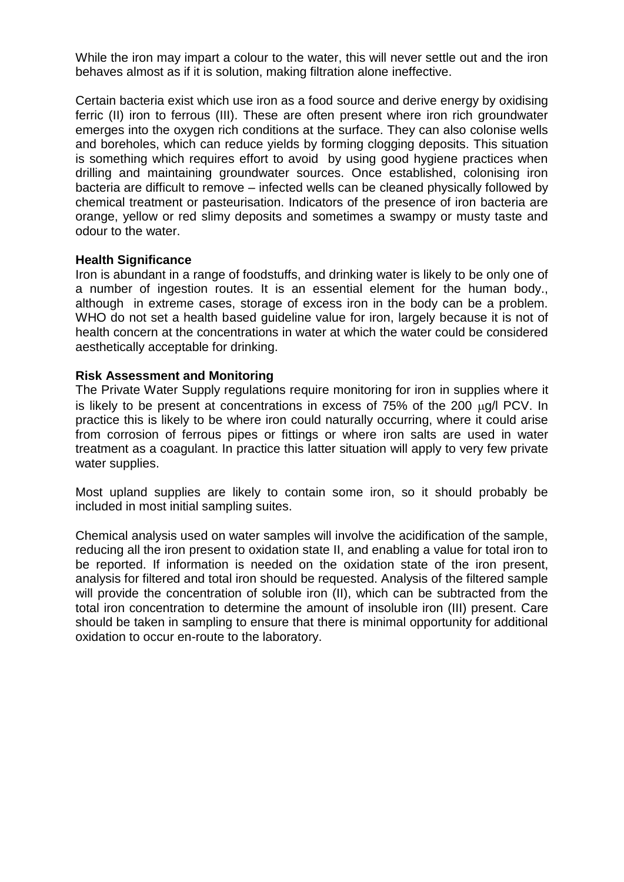While the iron may impart a colour to the water, this will never settle out and the iron behaves almost as if it is solution, making filtration alone ineffective.

Certain bacteria exist which use iron as a food source and derive energy by oxidising ferric (II) iron to ferrous (III). These are often present where iron rich groundwater emerges into the oxygen rich conditions at the surface. They can also colonise wells and boreholes, which can reduce yields by forming clogging deposits. This situation is something which requires effort to avoid by using good hygiene practices when drilling and maintaining groundwater sources. Once established, colonising iron bacteria are difficult to remove – infected wells can be cleaned physically followed by chemical treatment or pasteurisation. Indicators of the presence of iron bacteria are orange, yellow or red slimy deposits and sometimes a swampy or musty taste and odour to the water.

### **Health Significance**

Iron is abundant in a range of foodstuffs, and drinking water is likely to be only one of a number of ingestion routes. It is an essential element for the human body., although in extreme cases, storage of excess iron in the body can be a problem. WHO do not set a health based quideline value for iron, largely because it is not of health concern at the concentrations in water at which the water could be considered aesthetically acceptable for drinking.

### **Risk Assessment and Monitoring**

The Private Water Supply regulations require monitoring for iron in supplies where it is likely to be present at concentrations in excess of  $75%$  of the  $200 \mu q/l$  PCV. In practice this is likely to be where iron could naturally occurring, where it could arise from corrosion of ferrous pipes or fittings or where iron salts are used in water treatment as a coagulant. In practice this latter situation will apply to very few private water supplies.

Most upland supplies are likely to contain some iron, so it should probably be included in most initial sampling suites.

Chemical analysis used on water samples will involve the acidification of the sample, reducing all the iron present to oxidation state II, and enabling a value for total iron to be reported. If information is needed on the oxidation state of the iron present, analysis for filtered and total iron should be requested. Analysis of the filtered sample will provide the concentration of soluble iron (II), which can be subtracted from the total iron concentration to determine the amount of insoluble iron (III) present. Care should be taken in sampling to ensure that there is minimal opportunity for additional oxidation to occur en-route to the laboratory.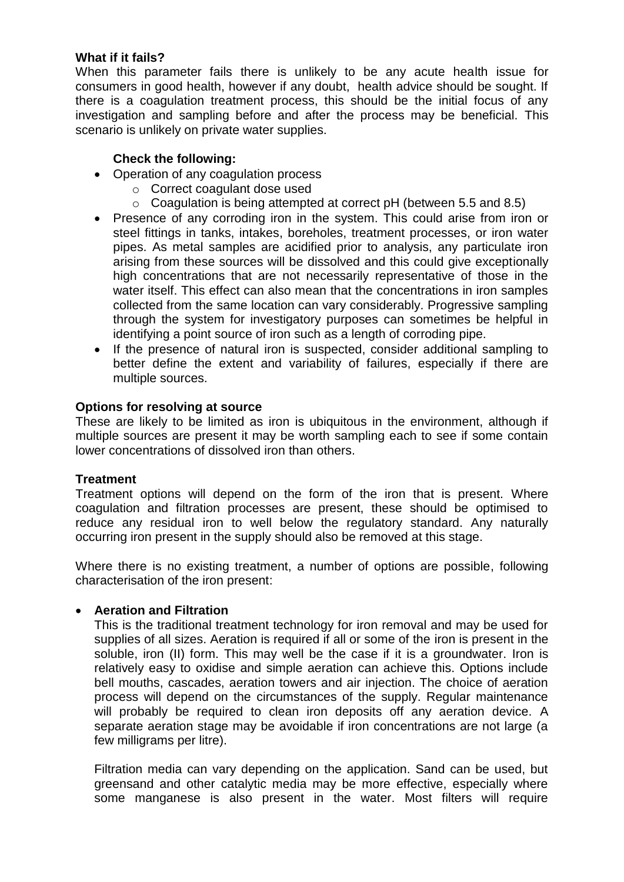### **What if it fails?**

When this parameter fails there is unlikely to be any acute health issue for consumers in good health, however if any doubt, health advice should be sought. If there is a coagulation treatment process, this should be the initial focus of any investigation and sampling before and after the process may be beneficial. This scenario is unlikely on private water supplies.

### **Check the following:**

- Operation of any coagulation process
	- o Correct coagulant dose used
	- o Coagulation is being attempted at correct pH (between 5.5 and 8.5)
- Presence of any corroding iron in the system. This could arise from iron or steel fittings in tanks, intakes, boreholes, treatment processes, or iron water pipes. As metal samples are acidified prior to analysis, any particulate iron arising from these sources will be dissolved and this could give exceptionally high concentrations that are not necessarily representative of those in the water itself. This effect can also mean that the concentrations in iron samples collected from the same location can vary considerably. Progressive sampling through the system for investigatory purposes can sometimes be helpful in identifying a point source of iron such as a length of corroding pipe.
- If the presence of natural iron is suspected, consider additional sampling to better define the extent and variability of failures, especially if there are multiple sources.

### **Options for resolving at source**

These are likely to be limited as iron is ubiquitous in the environment, although if multiple sources are present it may be worth sampling each to see if some contain lower concentrations of dissolved iron than others.

### **Treatment**

Treatment options will depend on the form of the iron that is present. Where coagulation and filtration processes are present, these should be optimised to reduce any residual iron to well below the regulatory standard. Any naturally occurring iron present in the supply should also be removed at this stage.

Where there is no existing treatment, a number of options are possible, following characterisation of the iron present:

### **Aeration and Filtration**

This is the traditional treatment technology for iron removal and may be used for supplies of all sizes. Aeration is required if all or some of the iron is present in the soluble, iron (II) form. This may well be the case if it is a groundwater. Iron is relatively easy to oxidise and simple aeration can achieve this. Options include bell mouths, cascades, aeration towers and air injection. The choice of aeration process will depend on the circumstances of the supply. Regular maintenance will probably be required to clean iron deposits off any aeration device. A separate aeration stage may be avoidable if iron concentrations are not large (a few milligrams per litre).

Filtration media can vary depending on the application. Sand can be used, but greensand and other catalytic media may be more effective, especially where some manganese is also present in the water. Most filters will require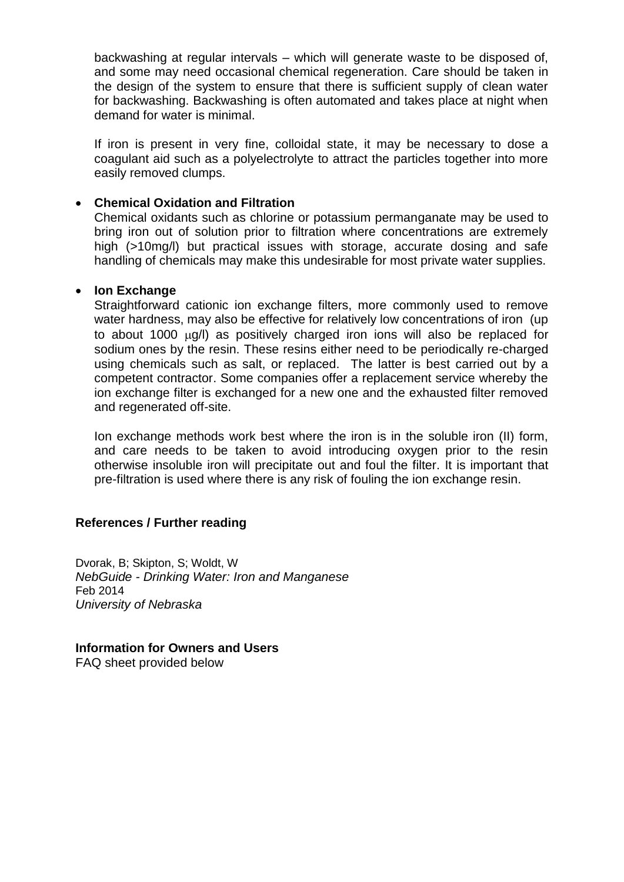backwashing at regular intervals – which will generate waste to be disposed of, and some may need occasional chemical regeneration. Care should be taken in the design of the system to ensure that there is sufficient supply of clean water for backwashing. Backwashing is often automated and takes place at night when demand for water is minimal.

If iron is present in very fine, colloidal state, it may be necessary to dose a coagulant aid such as a polyelectrolyte to attract the particles together into more easily removed clumps.

### **Chemical Oxidation and Filtration**

Chemical oxidants such as chlorine or potassium permanganate may be used to bring iron out of solution prior to filtration where concentrations are extremely high (>10mg/l) but practical issues with storage, accurate dosing and safe handling of chemicals may make this undesirable for most private water supplies.

### **Ion Exchange**

Straightforward cationic ion exchange filters, more commonly used to remove water hardness, may also be effective for relatively low concentrations of iron (up to about 1000  $\mu q/l$ ) as positively charged iron ions will also be replaced for sodium ones by the resin. These resins either need to be periodically re-charged using chemicals such as salt, or replaced. The latter is best carried out by a competent contractor. Some companies offer a replacement service whereby the ion exchange filter is exchanged for a new one and the exhausted filter removed and regenerated off-site.

Ion exchange methods work best where the iron is in the soluble iron (II) form, and care needs to be taken to avoid introducing oxygen prior to the resin otherwise insoluble iron will precipitate out and foul the filter. It is important that pre-filtration is used where there is any risk of fouling the ion exchange resin.

### **References / Further reading**

Dvorak, B; Skipton, S; Woldt, W *NebGuide - Drinking Water: Iron and Manganese* Feb 2014 *University of Nebraska*

**Information for Owners and Users** FAQ sheet provided below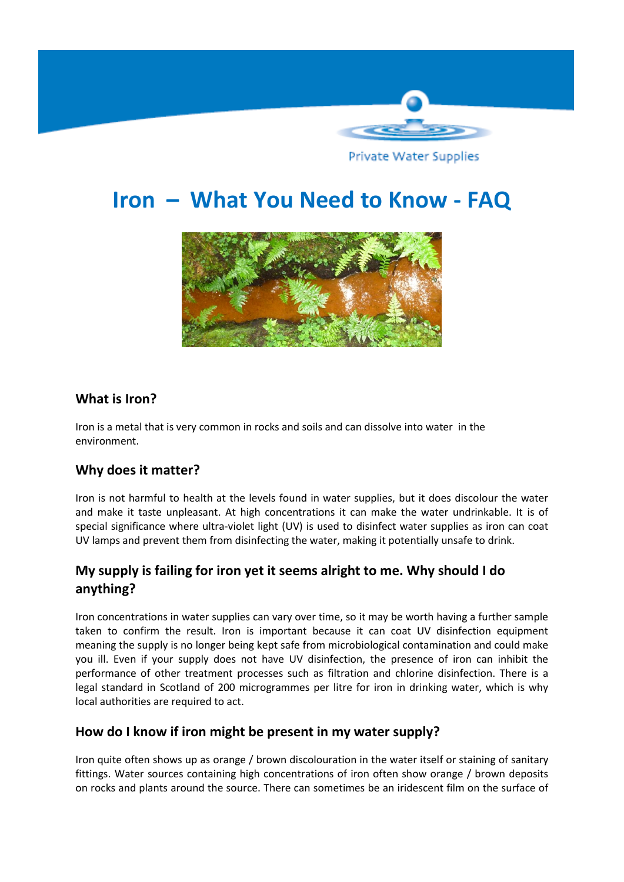

Private Water Supplies

# **Iron – What You Need to Know - FAQ**



# **What is Iron?**

Iron is a metal that is very common in rocks and soils and can dissolve into water in the environment.

# **Why does it matter?**

Iron is not harmful to health at the levels found in water supplies, but it does discolour the water and make it taste unpleasant. At high concentrations it can make the water undrinkable. It is of special significance where ultra-violet light (UV) is used to disinfect water supplies as iron can coat UV lamps and prevent them from disinfecting the water, making it potentially unsafe to drink.

# **My supply is failing for iron yet it seems alright to me. Why should I do anything?**

Iron concentrations in water supplies can vary over time, so it may be worth having a further sample taken to confirm the result. Iron is important because it can coat UV disinfection equipment meaning the supply is no longer being kept safe from microbiological contamination and could make you ill. Even if your supply does not have UV disinfection, the presence of iron can inhibit the performance of other treatment processes such as filtration and chlorine disinfection. There is a legal standard in Scotland of 200 microgrammes per litre for iron in drinking water, which is why local authorities are required to act.

### **How do I know if iron might be present in my water supply?**

Iron quite often shows up as orange / brown discolouration in the water itself or staining of sanitary fittings. Water sources containing high concentrations of iron often show orange / brown deposits on rocks and plants around the source. There can sometimes be an iridescent film on the surface of